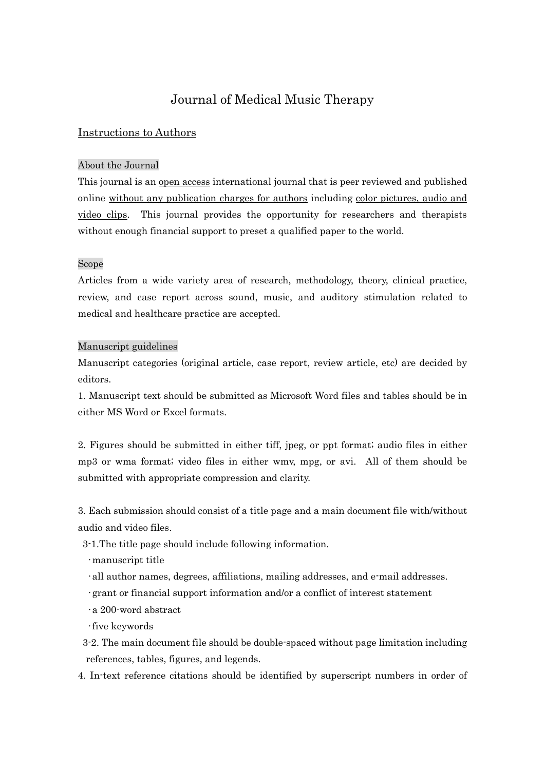# Journal of Medical Music Therapy

# Instructions to Authors

### About the Journal

This journal is an open access international journal that is peer reviewed and published online without any publication charges for authors including color pictures, audio and video clips. This journal provides the opportunity for researchers and therapists without enough financial support to preset a qualified paper to the world.

#### Scope

Articles from a wide variety area of research, methodology, theory, clinical practice, review, and case report across sound, music, and auditory stimulation related to medical and healthcare practice are accepted.

#### Manuscript guidelines

Manuscript categories (original article, case report, review article, etc) are decided by editors.

1. Manuscript text should be submitted as Microsoft Word files and tables should be in either MS Word or Excel formats.

2. Figures should be submitted in either tiff, jpeg, or ppt format; audio files in either mp3 or wma format; video files in either wmv, mpg, or avi. All of them should be submitted with appropriate compression and clarity.

3. Each submission should consist of a title page and a main document file with/without audio and video files.

3-1.The title page should include following information.

•manuscript title

- •all author names, degrees, affiliations, mailing addresses, and e-mail addresses.
- •grant or financial support information and/or a conflict of interest statement
- •a 200-word abstract
- •five keywords
- 3-2. The main document file should be double-spaced without page limitation including references, tables, figures, and legends.
- 4. In-text reference citations should be identified by superscript numbers in order of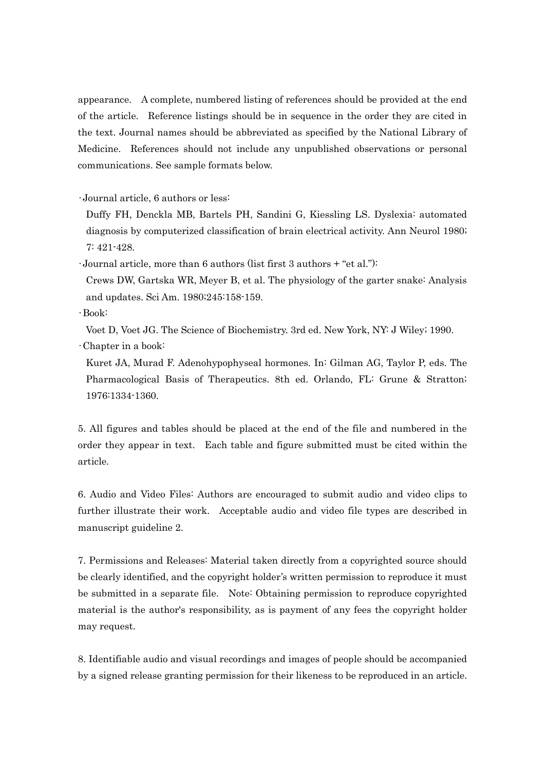appearance. A complete, numbered listing of references should be provided at the end of the article. Reference listings should be in sequence in the order they are cited in the text. Journal names should be abbreviated as specified by the National Library of Medicine. References should not include any unpublished observations or personal communications. See sample formats below.

•Journal article, 6 authors or less:

Duffy FH, Denckla MB, Bartels PH, Sandini G, Kiessling LS. Dyslexia: automated diagnosis by computerized classification of brain electrical activity. Ann Neurol 1980; 7: 421-428.

•Journal article, more than 6 authors (list first 3 authors + "et al."):

Crews DW, Gartska WR, Meyer B, et al. The physiology of the garter snake: Analysis and updates. Sci Am. 1980;245:158-159.

•Book:

Voet D, Voet JG. The Science of Biochemistry. 3rd ed. New York, NY: J Wiley; 1990.

•Chapter in a book:

Kuret JA, Murad F. Adenohypophyseal hormones. In: Gilman AG, Taylor P, eds. The Pharmacological Basis of Therapeutics. 8th ed. Orlando, FL: Grune & Stratton; 1976:1334-1360.

5. All figures and tables should be placed at the end of the file and numbered in the order they appear in text. Each table and figure submitted must be cited within the article.

6. Audio and Video Files: Authors are encouraged to submit audio and video clips to further illustrate their work. Acceptable audio and video file types are described in manuscript guideline 2.

7. Permissions and Releases: Material taken directly from a copyrighted source should be clearly identified, and the copyright holder's written permission to reproduce it must be submitted in a separate file. Note: Obtaining permission to reproduce copyrighted material is the author's responsibility, as is payment of any fees the copyright holder may request.

8. Identifiable audio and visual recordings and images of people should be accompanied by a signed release granting permission for their likeness to be reproduced in an article.